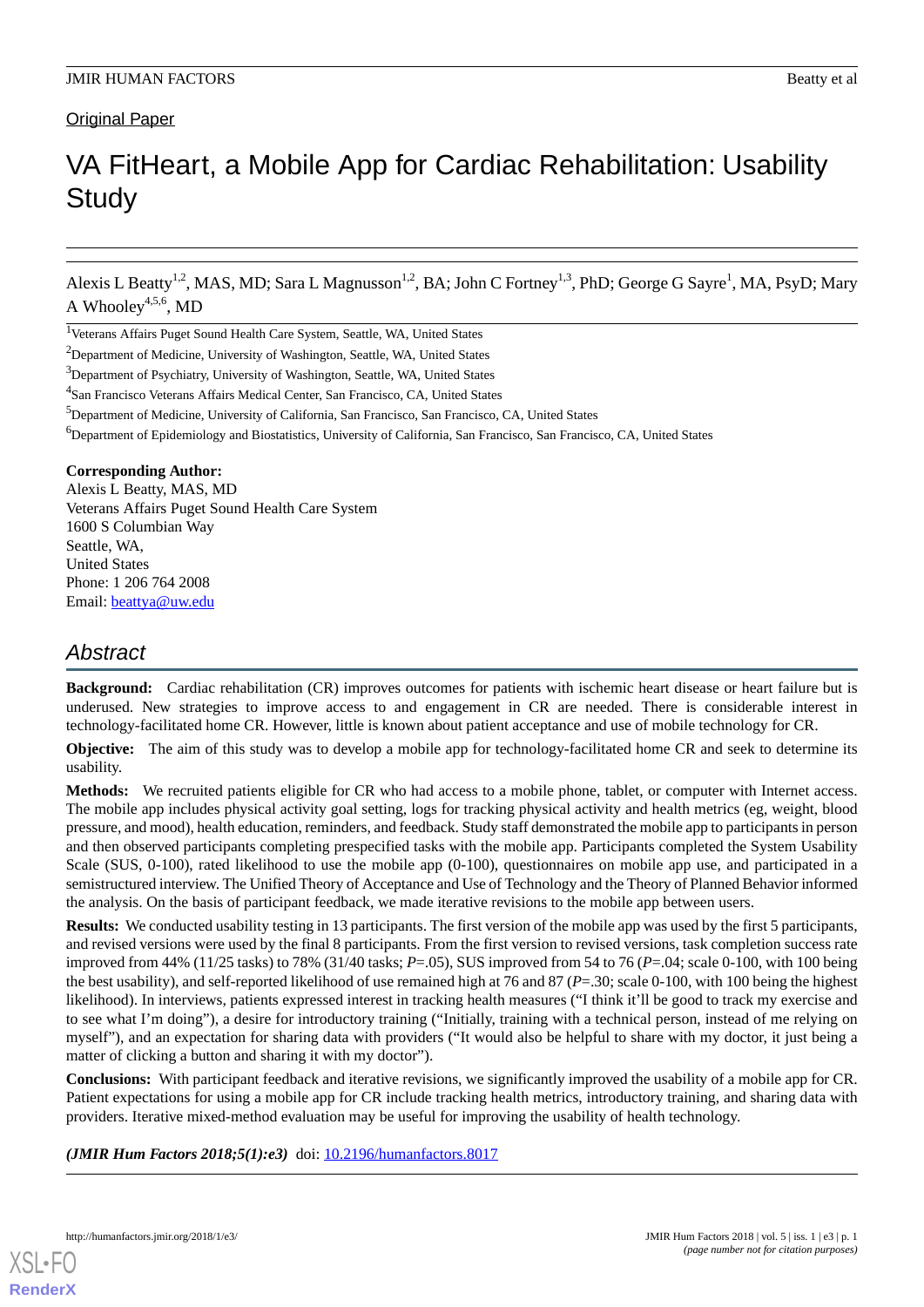# **Original Paper**

# VA FitHeart, a Mobile App for Cardiac Rehabilitation: Usability **Study**

Alexis L Beatty<sup>1,2</sup>, MAS, MD; Sara L Magnusson<sup>1,2</sup>, BA; John C Fortney<sup>1,3</sup>, PhD; George G Sayre<sup>1</sup>, MA, PsyD; Mary A Whooley 4,5,6 , MD

#### **Corresponding Author:**

Alexis L Beatty, MAS, MD Veterans Affairs Puget Sound Health Care System 1600 S Columbian Way Seattle, WA, United States Phone: 1 206 764 2008 Email: [beattya@uw.edu](mailto:beattya@uw.edu)

# *Abstract*

**Background:** Cardiac rehabilitation (CR) improves outcomes for patients with ischemic heart disease or heart failure but is underused. New strategies to improve access to and engagement in CR are needed. There is considerable interest in technology-facilitated home CR. However, little is known about patient acceptance and use of mobile technology for CR.

**Objective:** The aim of this study was to develop a mobile app for technology-facilitated home CR and seek to determine its usability.

**Methods:** We recruited patients eligible for CR who had access to a mobile phone, tablet, or computer with Internet access. The mobile app includes physical activity goal setting, logs for tracking physical activity and health metrics (eg, weight, blood pressure, and mood), health education, reminders, and feedback. Study staff demonstrated the mobile app to participants in person and then observed participants completing prespecified tasks with the mobile app. Participants completed the System Usability Scale (SUS, 0-100), rated likelihood to use the mobile app (0-100), questionnaires on mobile app use, and participated in a semistructured interview. The Unified Theory of Acceptance and Use of Technology and the Theory of Planned Behavior informed the analysis. On the basis of participant feedback, we made iterative revisions to the mobile app between users.

**Results:** We conducted usability testing in 13 participants. The first version of the mobile app was used by the first 5 participants, and revised versions were used by the final 8 participants. From the first version to revised versions, task completion success rate improved from 44% (11/25 tasks) to 78% (31/40 tasks; *P*=.05), SUS improved from 54 to 76 (*P*=.04; scale 0-100, with 100 being the best usability), and self-reported likelihood of use remained high at 76 and 87 (*P*=.30; scale 0-100, with 100 being the highest likelihood). In interviews, patients expressed interest in tracking health measures ("I think it'll be good to track my exercise and to see what I'm doing"), a desire for introductory training ("Initially, training with a technical person, instead of me relying on myself"), and an expectation for sharing data with providers ("It would also be helpful to share with my doctor, it just being a matter of clicking a button and sharing it with my doctor").

**Conclusions:** With participant feedback and iterative revisions, we significantly improved the usability of a mobile app for CR. Patient expectations for using a mobile app for CR include tracking health metrics, introductory training, and sharing data with providers. Iterative mixed-method evaluation may be useful for improving the usability of health technology.

*(JMIR Hum Factors 2018;5(1):e3)* doi: [10.2196/humanfactors.8017](http://dx.doi.org/10.2196/humanfactors.8017)



<sup>&</sup>lt;sup>1</sup>Veterans Affairs Puget Sound Health Care System, Seattle, WA, United States

<sup>&</sup>lt;sup>2</sup>Department of Medicine, University of Washington, Seattle, WA, United States

<sup>&</sup>lt;sup>3</sup>Department of Psychiatry, University of Washington, Seattle, WA, United States

<sup>&</sup>lt;sup>4</sup>San Francisco Veterans Affairs Medical Center, San Francisco, CA, United States

<sup>5</sup>Department of Medicine, University of California, San Francisco, San Francisco, CA, United States

<sup>&</sup>lt;sup>6</sup>Department of Epidemiology and Biostatistics, University of California, San Francisco, San Francisco, CA, United States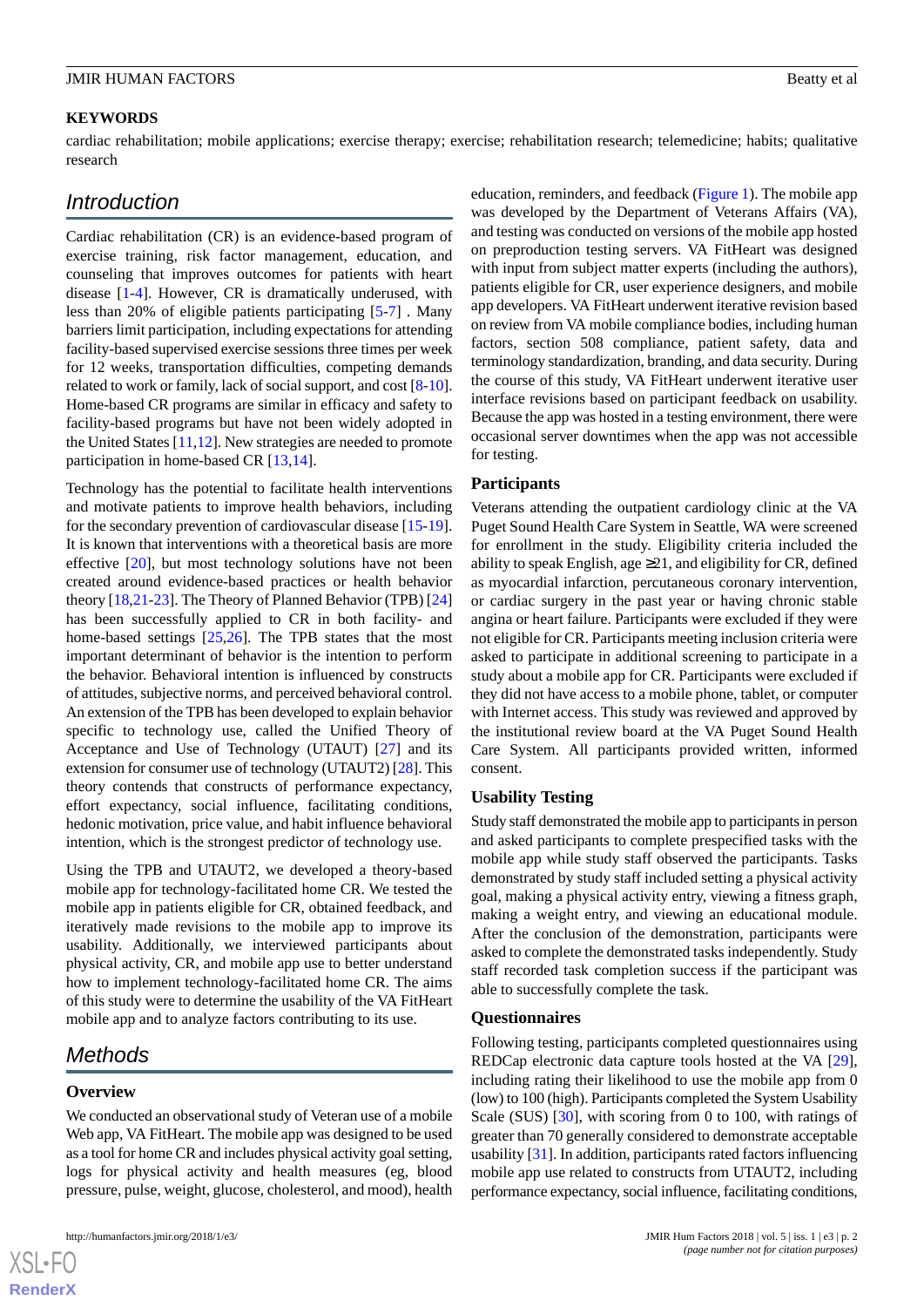#### **KEYWORDS**

cardiac rehabilitation; mobile applications; exercise therapy; exercise; rehabilitation research; telemedicine; habits; qualitative research

# *Introduction*

Cardiac rehabilitation (CR) is an evidence-based program of exercise training, risk factor management, education, and counseling that improves outcomes for patients with heart disease [[1-](#page-7-0)[4](#page-7-1)]. However, CR is dramatically underused, with less than 20% of eligible patients participating [[5](#page-7-2)[-7](#page-7-3)] *.* Many barriers limit participation, including expectations for attending facility-based supervised exercise sessions three times per week for 12 weeks, transportation difficulties, competing demands related to work or family, lack of social support, and cost [[8-](#page-8-0)[10\]](#page-8-1). Home-based CR programs are similar in efficacy and safety to facility-based programs but have not been widely adopted in the United States [[11,](#page-8-2)[12](#page-8-3)]. New strategies are needed to promote participation in home-based CR [[13](#page-8-4)[,14](#page-8-5)].

Technology has the potential to facilitate health interventions and motivate patients to improve health behaviors, including for the secondary prevention of cardiovascular disease [\[15](#page-8-6)-[19\]](#page-8-7). It is known that interventions with a theoretical basis are more effective [\[20](#page-8-8)], but most technology solutions have not been created around evidence-based practices or health behavior theory [\[18](#page-8-9),[21-](#page-8-10)[23](#page-8-11)]. The Theory of Planned Behavior (TPB) [\[24](#page-8-12)] has been successfully applied to CR in both facility- and home-based settings [[25,](#page-8-13)[26](#page-8-14)]. The TPB states that the most important determinant of behavior is the intention to perform the behavior. Behavioral intention is influenced by constructs of attitudes, subjective norms, and perceived behavioral control. An extension of the TPB has been developed to explain behavior specific to technology use, called the Unified Theory of Acceptance and Use of Technology (UTAUT) [\[27](#page-8-15)] and its extension for consumer use of technology (UTAUT2) [\[28](#page-8-16)]. This theory contends that constructs of performance expectancy, effort expectancy, social influence, facilitating conditions, hedonic motivation, price value, and habit influence behavioral intention, which is the strongest predictor of technology use.

Using the TPB and UTAUT2, we developed a theory-based mobile app for technology-facilitated home CR. We tested the mobile app in patients eligible for CR, obtained feedback, and iteratively made revisions to the mobile app to improve its usability. Additionally, we interviewed participants about physical activity, CR, and mobile app use to better understand how to implement technology-facilitated home CR. The aims of this study were to determine the usability of the VA FitHeart mobile app and to analyze factors contributing to its use.

# *Methods*

#### **Overview**

We conducted an observational study of Veteran use of a mobile Web app, VA FitHeart. The mobile app was designed to be used as a tool for home CR and includes physical activity goal setting, logs for physical activity and health measures (eg, blood pressure, pulse, weight, glucose, cholesterol, and mood), health

education, reminders, and feedback ([Figure 1\)](#page-2-0). The mobile app was developed by the Department of Veterans Affairs (VA), and testing was conducted on versions of the mobile app hosted on preproduction testing servers. VA FitHeart was designed with input from subject matter experts (including the authors), patients eligible for CR, user experience designers, and mobile app developers. VA FitHeart underwent iterative revision based on review from VA mobile compliance bodies, including human factors, section 508 compliance, patient safety, data and terminology standardization, branding, and data security. During the course of this study, VA FitHeart underwent iterative user interface revisions based on participant feedback on usability. Because the app was hosted in a testing environment, there were occasional server downtimes when the app was not accessible for testing.

#### **Participants**

Veterans attending the outpatient cardiology clinic at the VA Puget Sound Health Care System in Seattle, WA were screened for enrollment in the study. Eligibility criteria included the ability to speak English, age  $\geq 21$ , and eligibility for CR, defined as myocardial infarction, percutaneous coronary intervention, or cardiac surgery in the past year or having chronic stable angina or heart failure. Participants were excluded if they were not eligible for CR. Participants meeting inclusion criteria were asked to participate in additional screening to participate in a study about a mobile app for CR. Participants were excluded if they did not have access to a mobile phone, tablet, or computer with Internet access. This study was reviewed and approved by the institutional review board at the VA Puget Sound Health Care System. All participants provided written, informed consent.

#### **Usability Testing**

Study staff demonstrated the mobile app to participants in person and asked participants to complete prespecified tasks with the mobile app while study staff observed the participants. Tasks demonstrated by study staff included setting a physical activity goal, making a physical activity entry, viewing a fitness graph, making a weight entry, and viewing an educational module. After the conclusion of the demonstration, participants were asked to complete the demonstrated tasks independently. Study staff recorded task completion success if the participant was able to successfully complete the task.

#### **Questionnaires**

Following testing, participants completed questionnaires using REDCap electronic data capture tools hosted at the VA [[29\]](#page-8-17), including rating their likelihood to use the mobile app from 0 (low) to 100 (high). Participants completed the System Usability Scale (SUS) [[30\]](#page-9-0), with scoring from 0 to 100, with ratings of greater than 70 generally considered to demonstrate acceptable usability [\[31](#page-9-1)]. In addition, participants rated factors influencing mobile app use related to constructs from UTAUT2, including performance expectancy, social influence, facilitating conditions,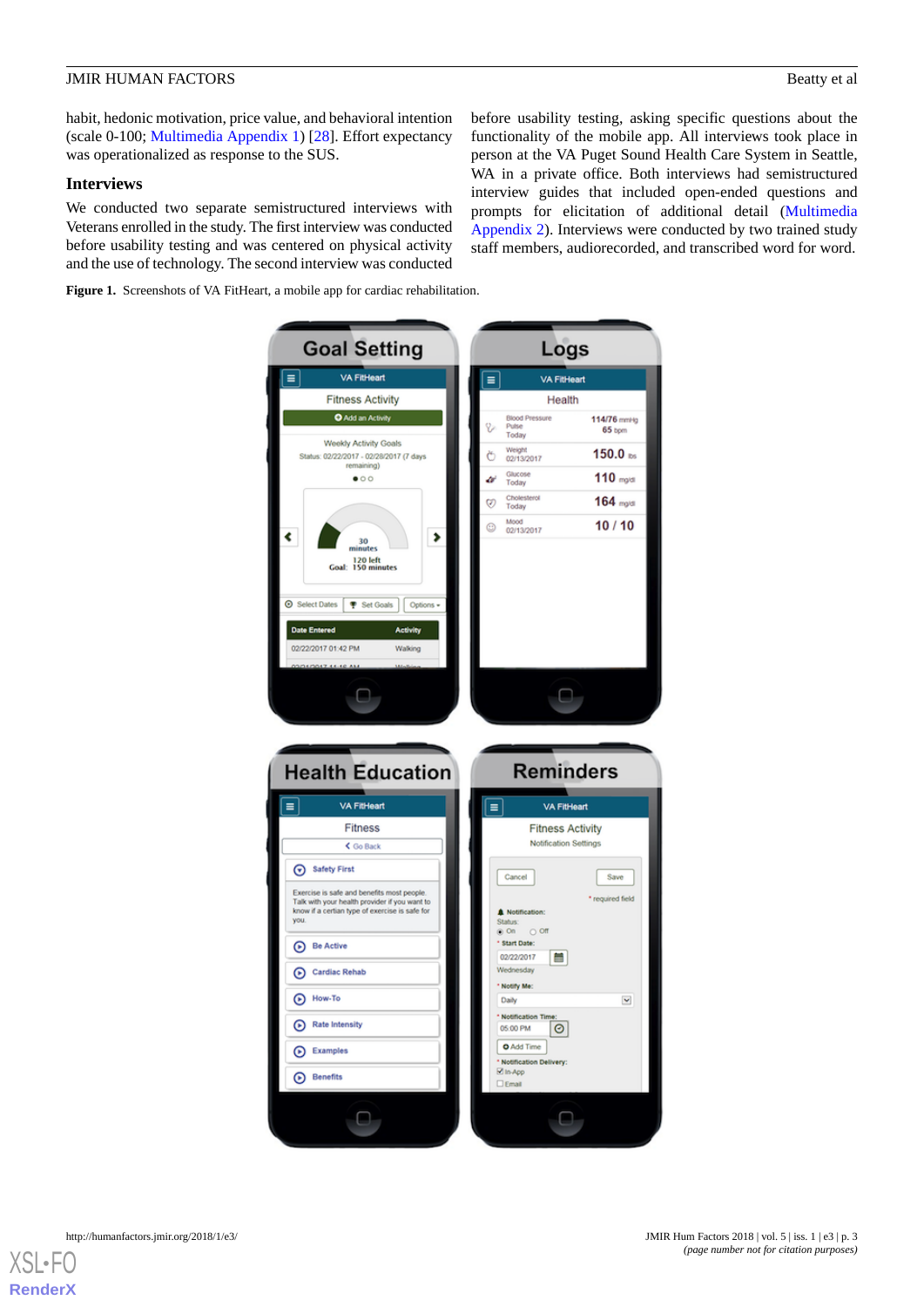before usability testing, asking specific questions about the functionality of the mobile app. All interviews took place in person at the VA Puget Sound Health Care System in Seattle, WA in a private office. Both interviews had semistructured interview guides that included open-ended questions and prompts for elicitation of additional detail [\(Multimedia](#page-7-5) [Appendix 2\)](#page-7-5). Interviews were conducted by two trained study staff members, audiorecorded, and transcribed word for word.

habit, hedonic motivation, price value, and behavioral intention (scale 0-100; [Multimedia Appendix 1](#page-7-4)) [\[28](#page-8-16)]. Effort expectancy was operationalized as response to the SUS.

#### **Interviews**

We conducted two separate semistructured interviews with Veterans enrolled in the study. The first interview was conducted before usability testing and was centered on physical activity and the use of technology. The second interview was conducted

<span id="page-2-0"></span>**Figure 1.** Screenshots of VA FitHeart, a mobile app for cardiac rehabilitation.

**Goal Setting** Logs VA FitHeart  $\equiv$ VA FitHeart Ξ **Fitness Activity** Health O Add an Activity 114/76 mmHg B 65 bpm ruse<br>Today Weekly Activity Goals Weight<br>02/13/2017 150.0 $ms$ Status: 02/22/2017 - 02/28/2017 (7 days Ö ng Glucose<br>Today  $\bullet$ 00  $110$  mg/d â  $164$  mg/dl Cholester<br>Today Ø Mood<br>02/13/2017  $10/10$  $\odot$ ∢  $\blacktriangleright$ 30<br>inutes 120 left<br>Goal: 150 minutes ⊙ Select Dates <sup>P</sup> Set Goals Options Date Er 02/22/2017 01:42 PM Walking  $\Box$ **Health Education Reminders** VA FitHeart VA FitHeart  $\equiv$  $\equiv$ Fitness **Fitness Activity** Notification Settings  $\overline{\left\langle \right.}$  Go Back Safety First Cancel Save Exercise is safe and benefits most people.<br>Talk with your health provider if you want to<br>know if a certian type of exercise is safe for required field **A** Notification you Status.<br><sup>©</sup> On  $\circ$  or Start Date: **Be Active** 02/22/2017  $\blacksquare$ Cardiac Rehab Wednesday Notify Me <sup>How-To</sup> Daily Y Notificati Rate Intensity 05:00 PM ø O Add Time Examples \* Notificati<br>⊠ In-App on De **Benefits**  $\square$  Emai  $\Box$  $\Box$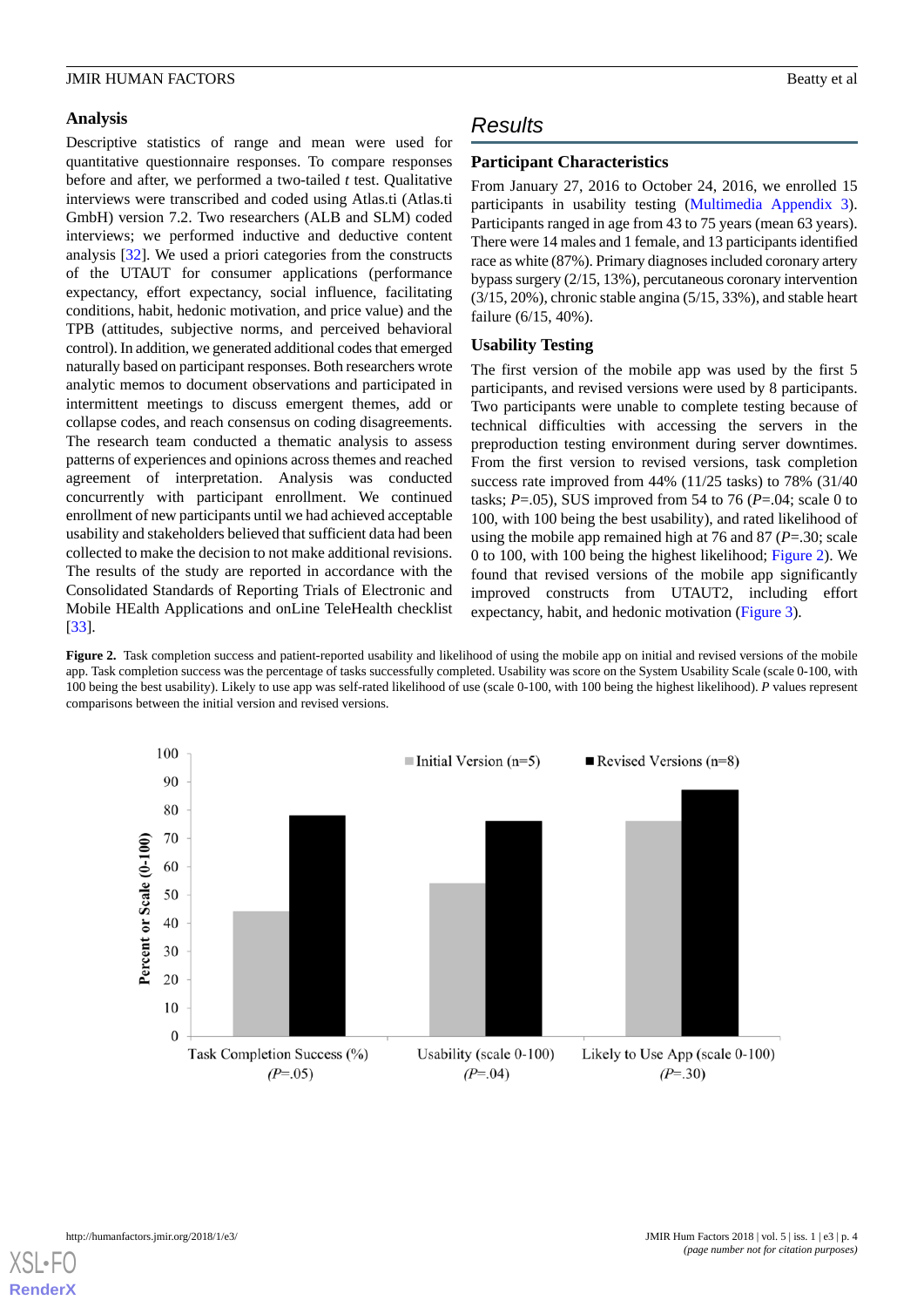# **Analysis**

Descriptive statistics of range and mean were used for quantitative questionnaire responses. To compare responses before and after, we performed a two-tailed *t* test. Qualitative interviews were transcribed and coded using Atlas.ti (Atlas.ti GmbH) version 7.2. Two researchers (ALB and SLM) coded interviews; we performed inductive and deductive content analysis [\[32](#page-9-2)]. We used a priori categories from the constructs of the UTAUT for consumer applications (performance expectancy, effort expectancy, social influence, facilitating conditions, habit, hedonic motivation, and price value) and the TPB (attitudes, subjective norms, and perceived behavioral control). In addition, we generated additional codes that emerged naturally based on participant responses. Both researchers wrote analytic memos to document observations and participated in intermittent meetings to discuss emergent themes, add or collapse codes, and reach consensus on coding disagreements. The research team conducted a thematic analysis to assess patterns of experiences and opinions across themes and reached agreement of interpretation. Analysis was conducted concurrently with participant enrollment. We continued enrollment of new participants until we had achieved acceptable usability and stakeholders believed that sufficient data had been collected to make the decision to not make additional revisions. The results of the study are reported in accordance with the Consolidated Standards of Reporting Trials of Electronic and Mobile HEalth Applications and onLine TeleHealth checklist [[33\]](#page-9-3).

# *Results*

# **Participant Characteristics**

From January 27, 2016 to October 24, 2016, we enrolled 15 participants in usability testing ([Multimedia Appendix 3\)](#page-7-6). Participants ranged in age from 43 to 75 years (mean 63 years). There were 14 males and 1 female, and 13 participants identified race as white (87%). Primary diagnoses included coronary artery bypass surgery (2/15, 13%), percutaneous coronary intervention (3/15, 20%), chronic stable angina (5/15, 33%), and stable heart failure (6/15, 40%).

# **Usability Testing**

The first version of the mobile app was used by the first 5 participants, and revised versions were used by 8 participants. Two participants were unable to complete testing because of technical difficulties with accessing the servers in the preproduction testing environment during server downtimes. From the first version to revised versions, task completion success rate improved from 44% (11/25 tasks) to 78% (31/40 tasks;  $P = .05$ ), SUS improved from 54 to 76 ( $P = .04$ ; scale 0 to 100, with 100 being the best usability), and rated likelihood of using the mobile app remained high at 76 and 87 (*P*=.30; scale 0 to 100, with 100 being the highest likelihood; [Figure 2](#page-3-0)). We found that revised versions of the mobile app significantly improved constructs from UTAUT2, including effort expectancy, habit, and hedonic motivation [\(Figure 3](#page-4-0)).

<span id="page-3-0"></span>Figure 2. Task completion success and patient-reported usability and likelihood of using the mobile app on initial and revised versions of the mobile app. Task completion success was the percentage of tasks successfully completed. Usability was score on the System Usability Scale (scale 0-100, with 100 being the best usability). Likely to use app was self-rated likelihood of use (scale 0-100, with 100 being the highest likelihood). *P* values represent comparisons between the initial version and revised versions.



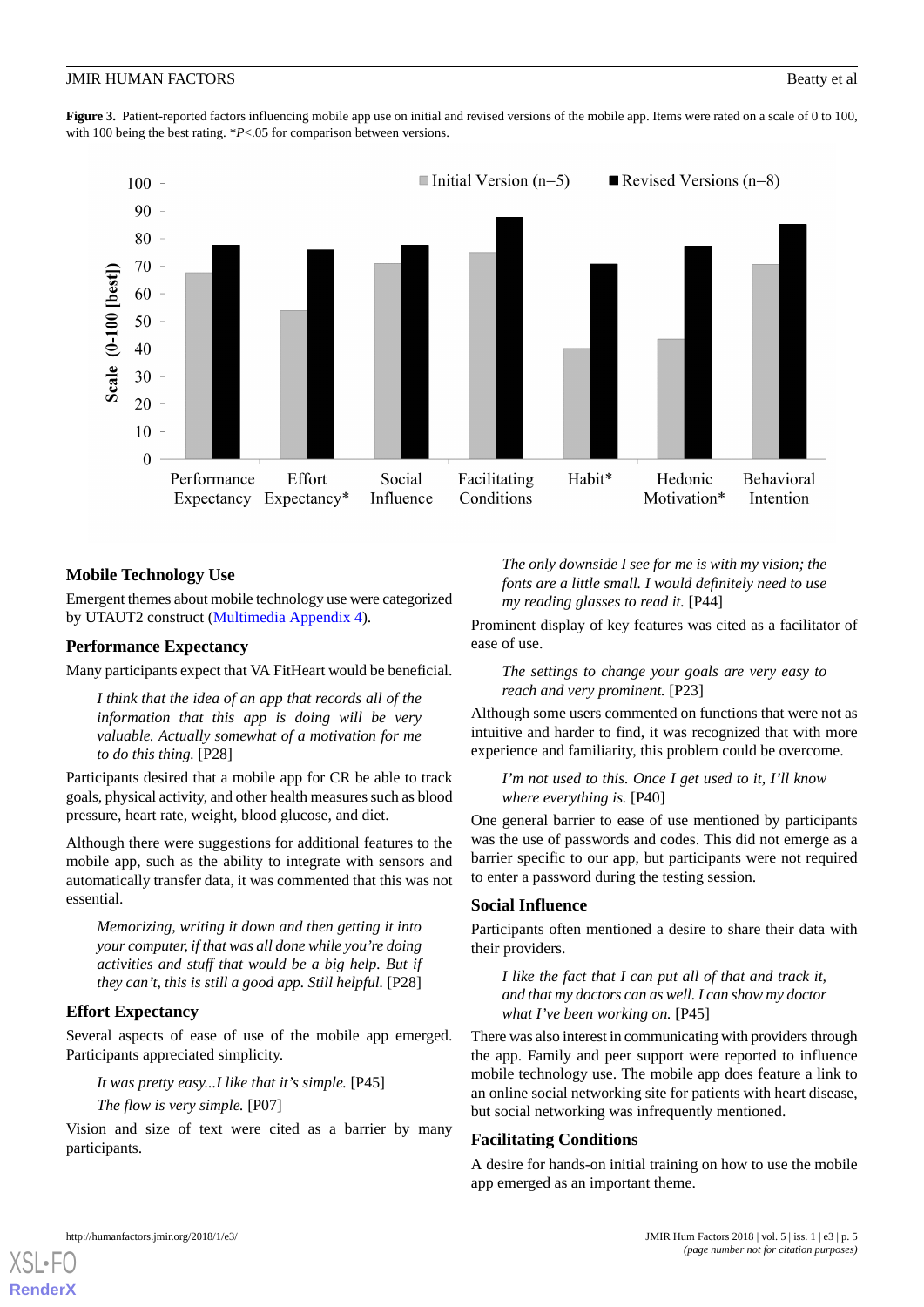<span id="page-4-0"></span>**Figure 3.** Patient-reported factors influencing mobile app use on initial and revised versions of the mobile app. Items were rated on a scale of 0 to 100, with 100 being the best rating. \**P*<.05 for comparison between versions.



# **Mobile Technology Use**

Emergent themes about mobile technology use were categorized by UTAUT2 construct [\(Multimedia Appendix 4\)](#page-7-7).

# **Performance Expectancy**

Many participants expect that VA FitHeart would be beneficial.

*I think that the idea of an app that records all of the information that this app is doing will be very valuable. Actually somewhat of a motivation for me to do this thing.* [P28]

Participants desired that a mobile app for CR be able to track goals, physical activity, and other health measures such as blood pressure, heart rate, weight, blood glucose, and diet.

Although there were suggestions for additional features to the mobile app, such as the ability to integrate with sensors and automatically transfer data, it was commented that this was not essential.

*Memorizing, writing it down and then getting it into your computer, if that was all done while you're doing activities and stuff that would be a big help. But if they can't, this is still a good app. Still helpful.* [P28]

# **Effort Expectancy**

Several aspects of ease of use of the mobile app emerged. Participants appreciated simplicity.

*It was pretty easy...I like that it's simple.* [P45]

#### *The flow is very simple.* [P07]

Vision and size of text were cited as a barrier by many participants.

*The only downside I see for me is with my vision; the fonts are a little small. I would definitely need to use my reading glasses to read it.* [P44]

Prominent display of key features was cited as a facilitator of ease of use.

*The settings to change your goals are very easy to reach and very prominent.* [P23]

Although some users commented on functions that were not as intuitive and harder to find, it was recognized that with more experience and familiarity, this problem could be overcome.

#### *I'm not used to this. Once I get used to it, I'll know where everything is.* [P40]

One general barrier to ease of use mentioned by participants was the use of passwords and codes. This did not emerge as a barrier specific to our app, but participants were not required to enter a password during the testing session.

#### **Social Influence**

Participants often mentioned a desire to share their data with their providers.

*I like the fact that I can put all of that and track it, and that my doctors can as well. I can show my doctor what I've been working on.* [P45]

There was also interest in communicating with providers through the app. Family and peer support were reported to influence mobile technology use. The mobile app does feature a link to an online social networking site for patients with heart disease, but social networking was infrequently mentioned.

# **Facilitating Conditions**

A desire for hands-on initial training on how to use the mobile app emerged as an important theme.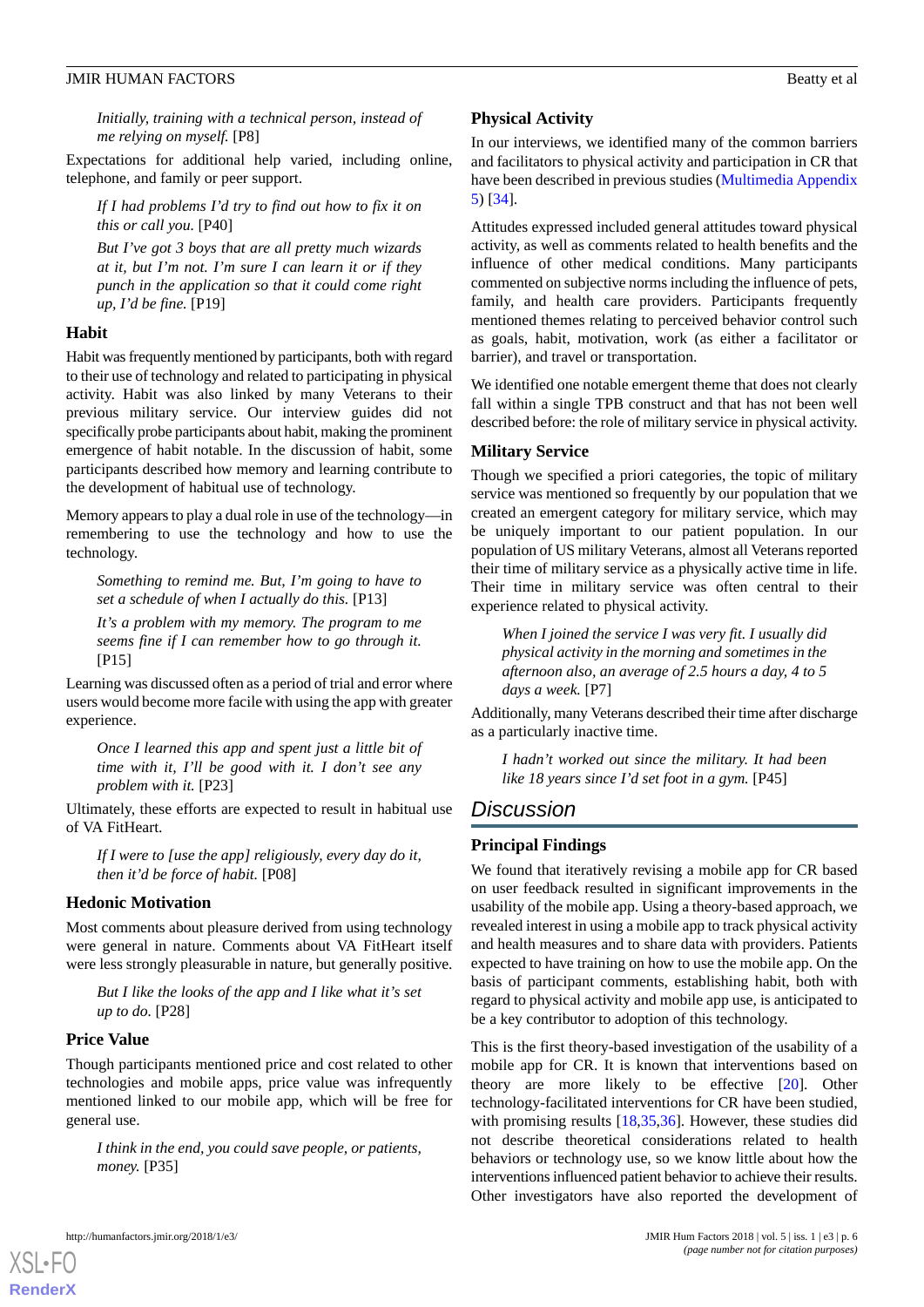*Initially, training with a technical person, instead of me relying on myself.* [P8]

Expectations for additional help varied, including online, telephone, and family or peer support.

*If I had problems I'd try to find out how to fix it on this or call you.* [P40]

*But I've got 3 boys that are all pretty much wizards at it, but I'm not. I'm sure I can learn it or if they punch in the application so that it could come right up, I'd be fine.* [P19]

#### **Habit**

Habit was frequently mentioned by participants, both with regard to their use of technology and related to participating in physical activity. Habit was also linked by many Veterans to their previous military service. Our interview guides did not specifically probe participants about habit, making the prominent emergence of habit notable. In the discussion of habit, some participants described how memory and learning contribute to the development of habitual use of technology.

Memory appears to play a dual role in use of the technology—in remembering to use the technology and how to use the technology.

*Something to remind me. But, I'm going to have to set a schedule of when I actually do this.* [P13]

*It's a problem with my memory. The program to me seems fine if I can remember how to go through it.* [P15]

Learning was discussed often as a period of trial and error where users would become more facile with using the app with greater experience.

*Once I learned this app and spent just a little bit of time with it, I'll be good with it. I don't see any problem with it.* [P23]

Ultimately, these efforts are expected to result in habitual use of VA FitHeart.

*If I were to [use the app] religiously, every day do it, then it'd be force of habit.* [P08]

#### **Hedonic Motivation**

Most comments about pleasure derived from using technology were general in nature. Comments about VA FitHeart itself were less strongly pleasurable in nature, but generally positive.

*But I like the looks of the app and I like what it's set up to do.* [P28]

#### **Price Value**

[XSL](http://www.w3.org/Style/XSL)•FO **[RenderX](http://www.renderx.com/)**

Though participants mentioned price and cost related to other technologies and mobile apps, price value was infrequently mentioned linked to our mobile app, which will be free for general use.

*I think in the end, you could save people, or patients, money.* [P35]

### **Physical Activity**

In our interviews, we identified many of the common barriers and facilitators to physical activity and participation in CR that have been described in previous studies ([Multimedia Appendix](#page-7-8) [5\)](#page-7-8) [[34\]](#page-9-4).

Attitudes expressed included general attitudes toward physical activity, as well as comments related to health benefits and the influence of other medical conditions. Many participants commented on subjective norms including the influence of pets, family, and health care providers. Participants frequently mentioned themes relating to perceived behavior control such as goals, habit, motivation, work (as either a facilitator or barrier), and travel or transportation.

We identified one notable emergent theme that does not clearly fall within a single TPB construct and that has not been well described before: the role of military service in physical activity.

# **Military Service**

Though we specified a priori categories, the topic of military service was mentioned so frequently by our population that we created an emergent category for military service, which may be uniquely important to our patient population. In our population of US military Veterans, almost all Veterans reported their time of military service as a physically active time in life. Their time in military service was often central to their experience related to physical activity.

*When I joined the service I was very fit. I usually did physical activity in the morning and sometimes in the afternoon also, an average of 2.5 hours a day, 4 to 5 days a week.* [P7]

Additionally, many Veterans described their time after discharge as a particularly inactive time.

*I hadn't worked out since the military. It had been like 18 years since I'd set foot in a gym.* [P45]

# *Discussion*

# **Principal Findings**

We found that iteratively revising a mobile app for CR based on user feedback resulted in significant improvements in the usability of the mobile app. Using a theory-based approach, we revealed interest in using a mobile app to track physical activity and health measures and to share data with providers. Patients expected to have training on how to use the mobile app. On the basis of participant comments, establishing habit, both with regard to physical activity and mobile app use, is anticipated to be a key contributor to adoption of this technology.

This is the first theory-based investigation of the usability of a mobile app for CR. It is known that interventions based on theory are more likely to be effective [[20\]](#page-8-8). Other technology-facilitated interventions for CR have been studied, with promising results [\[18](#page-8-9)[,35](#page-9-5),[36\]](#page-9-6). However, these studies did not describe theoretical considerations related to health behaviors or technology use, so we know little about how the interventions influenced patient behavior to achieve their results. Other investigators have also reported the development of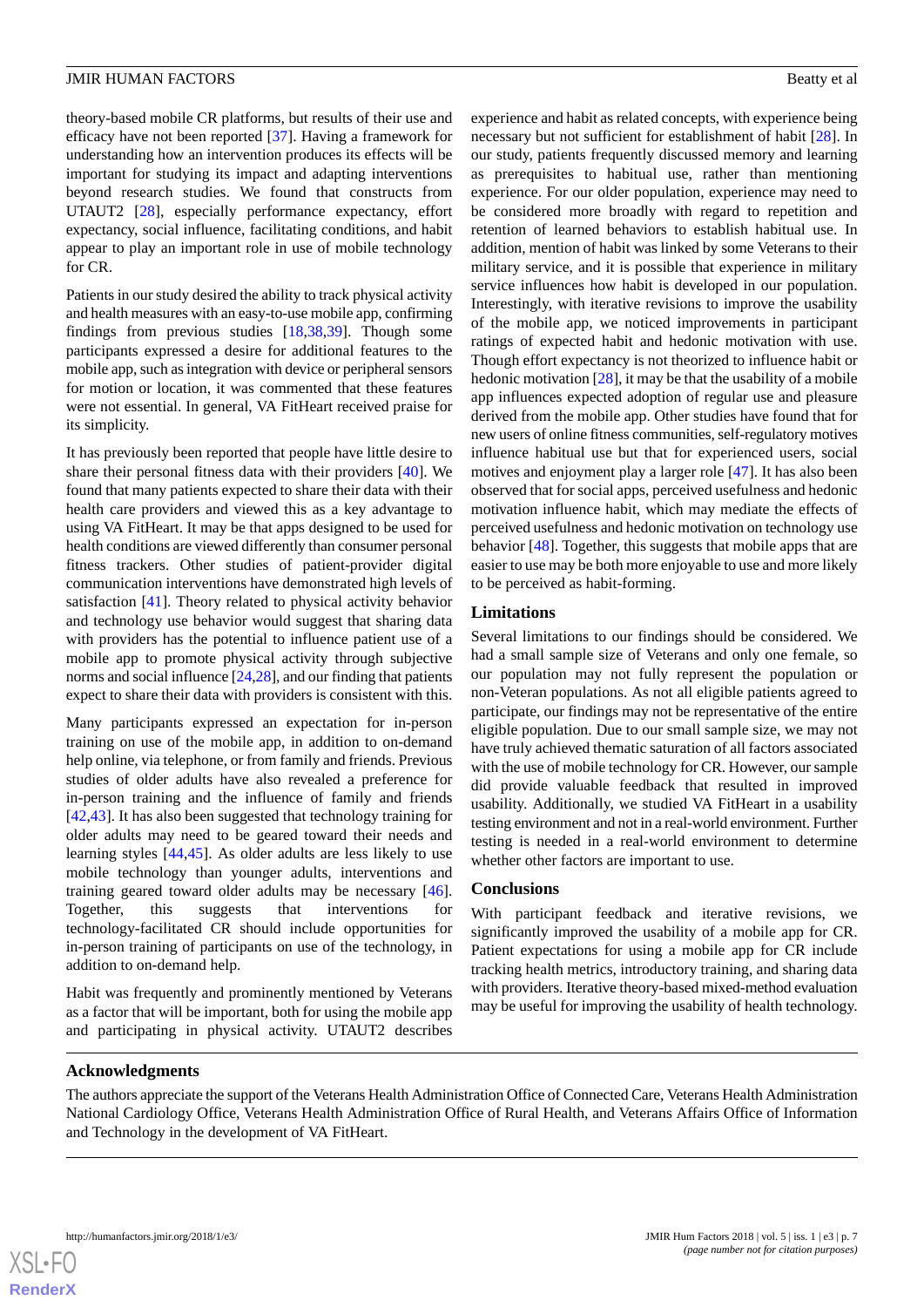theory-based mobile CR platforms, but results of their use and efficacy have not been reported [\[37](#page-9-7)]. Having a framework for understanding how an intervention produces its effects will be important for studying its impact and adapting interventions beyond research studies. We found that constructs from UTAUT2 [[28\]](#page-8-16), especially performance expectancy, effort expectancy, social influence, facilitating conditions, and habit appear to play an important role in use of mobile technology for CR.

Patients in our study desired the ability to track physical activity and health measures with an easy-to-use mobile app, confirming findings from previous studies [[18,](#page-8-9)[38](#page-9-8),[39\]](#page-9-9). Though some participants expressed a desire for additional features to the mobile app, such as integration with device or peripheral sensors for motion or location, it was commented that these features were not essential. In general, VA FitHeart received praise for its simplicity.

It has previously been reported that people have little desire to share their personal fitness data with their providers [[40\]](#page-9-10). We found that many patients expected to share their data with their health care providers and viewed this as a key advantage to using VA FitHeart. It may be that apps designed to be used for health conditions are viewed differently than consumer personal fitness trackers. Other studies of patient-provider digital communication interventions have demonstrated high levels of satisfaction [[41\]](#page-9-11). Theory related to physical activity behavior and technology use behavior would suggest that sharing data with providers has the potential to influence patient use of a mobile app to promote physical activity through subjective norms and social influence [\[24](#page-8-12),[28\]](#page-8-16), and our finding that patients expect to share their data with providers is consistent with this.

Many participants expressed an expectation for in-person training on use of the mobile app, in addition to on-demand help online, via telephone, or from family and friends. Previous studies of older adults have also revealed a preference for in-person training and the influence of family and friends [[42](#page-9-12)[,43](#page-9-13)]. It has also been suggested that technology training for older adults may need to be geared toward their needs and learning styles [\[44](#page-9-14),[45\]](#page-9-15). As older adults are less likely to use mobile technology than younger adults, interventions and training geared toward older adults may be necessary [[46\]](#page-9-16). Together, this suggests that interventions for technology-facilitated CR should include opportunities for in-person training of participants on use of the technology, in addition to on-demand help.

Habit was frequently and prominently mentioned by Veterans as a factor that will be important, both for using the mobile app and participating in physical activity. UTAUT2 describes

experience and habit as related concepts, with experience being necessary but not sufficient for establishment of habit [[28\]](#page-8-16). In our study, patients frequently discussed memory and learning as prerequisites to habitual use, rather than mentioning experience. For our older population, experience may need to be considered more broadly with regard to repetition and retention of learned behaviors to establish habitual use. In addition, mention of habit was linked by some Veterans to their military service, and it is possible that experience in military service influences how habit is developed in our population. Interestingly, with iterative revisions to improve the usability of the mobile app, we noticed improvements in participant ratings of expected habit and hedonic motivation with use. Though effort expectancy is not theorized to influence habit or hedonic motivation [\[28](#page-8-16)], it may be that the usability of a mobile app influences expected adoption of regular use and pleasure derived from the mobile app. Other studies have found that for new users of online fitness communities, self-regulatory motives influence habitual use but that for experienced users, social motives and enjoyment play a larger role [[47\]](#page-9-17). It has also been observed that for social apps, perceived usefulness and hedonic motivation influence habit, which may mediate the effects of perceived usefulness and hedonic motivation on technology use behavior [\[48](#page-9-18)]. Together, this suggests that mobile apps that are easier to use may be both more enjoyable to use and more likely to be perceived as habit-forming.

#### **Limitations**

Several limitations to our findings should be considered. We had a small sample size of Veterans and only one female, so our population may not fully represent the population or non-Veteran populations. As not all eligible patients agreed to participate, our findings may not be representative of the entire eligible population. Due to our small sample size, we may not have truly achieved thematic saturation of all factors associated with the use of mobile technology for CR. However, our sample did provide valuable feedback that resulted in improved usability. Additionally, we studied VA FitHeart in a usability testing environment and not in a real-world environment. Further testing is needed in a real-world environment to determine whether other factors are important to use.

### **Conclusions**

With participant feedback and iterative revisions, we significantly improved the usability of a mobile app for CR. Patient expectations for using a mobile app for CR include tracking health metrics, introductory training, and sharing data with providers. Iterative theory-based mixed-method evaluation may be useful for improving the usability of health technology.

#### **Acknowledgments**

The authors appreciate the support of the Veterans Health Administration Office of Connected Care, Veterans Health Administration National Cardiology Office, Veterans Health Administration Office of Rural Health, and Veterans Affairs Office of Information and Technology in the development of VA FitHeart.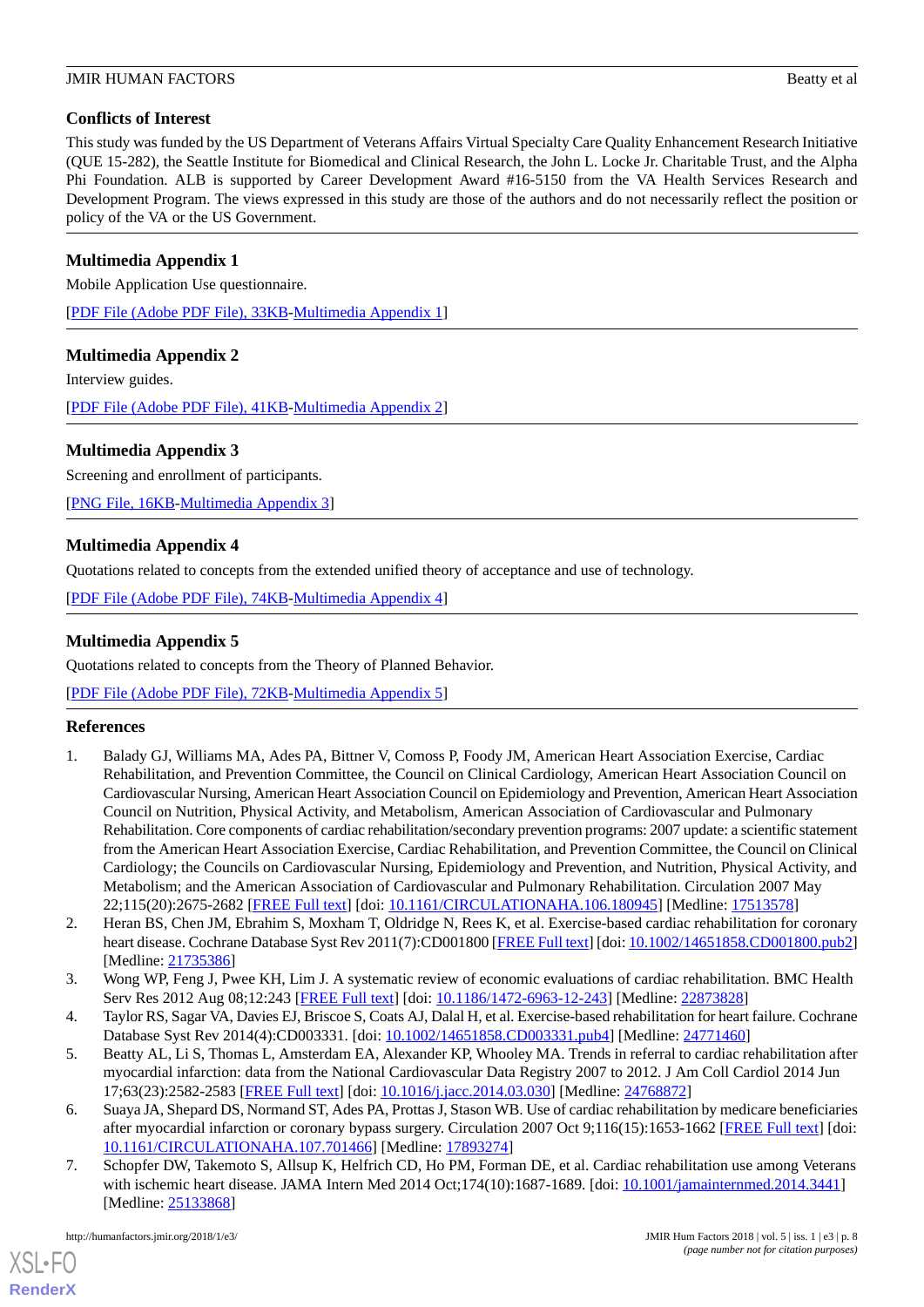# **Conflicts of Interest**

This study was funded by the US Department of Veterans Affairs Virtual Specialty Care Quality Enhancement Research Initiative (QUE 15-282), the Seattle Institute for Biomedical and Clinical Research, the John L. Locke Jr. Charitable Trust, and the Alpha Phi Foundation. ALB is supported by Career Development Award #16-5150 from the VA Health Services Research and Development Program. The views expressed in this study are those of the authors and do not necessarily reflect the position or policy of the VA or the US Government.

# <span id="page-7-4"></span>**Multimedia Appendix 1**

Mobile Application Use questionnaire.

<span id="page-7-5"></span>[[PDF File \(Adobe PDF File\), 33KB-Multimedia Appendix 1](https://jmir.org/api/download?alt_name=humanfactors_v5i1e3_app1.pdf&filename=47e409c85f1adfbe502775e4a7b8cbe0.pdf)]

# **Multimedia Appendix 2**

Interview guides.

<span id="page-7-6"></span>[[PDF File \(Adobe PDF File\), 41KB-Multimedia Appendix 2](https://jmir.org/api/download?alt_name=humanfactors_v5i1e3_app2.pdf&filename=c060d392ee7c32ec17870fa6dae7d5b1.pdf)]

# **Multimedia Appendix 3**

Screening and enrollment of participants.

<span id="page-7-7"></span>[[PNG File, 16KB-Multimedia Appendix 3](https://jmir.org/api/download?alt_name=humanfactors_v5i1e3_app3.png&filename=865237e54d3f150e02872e21641a9f63.png)]

# **Multimedia Appendix 4**

<span id="page-7-8"></span>Quotations related to concepts from the extended unified theory of acceptance and use of technology.

[[PDF File \(Adobe PDF File\), 74KB-Multimedia Appendix 4](https://jmir.org/api/download?alt_name=humanfactors_v5i1e3_app4.pdf&filename=353dfa2b8c3cb882e254e4a5c20b2005.pdf)]

# **Multimedia Appendix 5**

Quotations related to concepts from the Theory of Planned Behavior.

<span id="page-7-0"></span>[[PDF File \(Adobe PDF File\), 72KB-Multimedia Appendix 5](https://jmir.org/api/download?alt_name=humanfactors_v5i1e3_app5.pdf&filename=22fd2ce94f8d4eb5b4c2fe904225d484.pdf)]

# **References**

- 1. Balady GJ, Williams MA, Ades PA, Bittner V, Comoss P, Foody JM, American Heart Association Exercise, Cardiac Rehabilitation, and Prevention Committee, the Council on Clinical Cardiology, American Heart Association Council on Cardiovascular Nursing, American Heart Association Council on Epidemiology and Prevention, American Heart Association Council on Nutrition, Physical Activity, and Metabolism, American Association of Cardiovascular and Pulmonary Rehabilitation. Core components of cardiac rehabilitation/secondary prevention programs: 2007 update: a scientific statement from the American Heart Association Exercise, Cardiac Rehabilitation, and Prevention Committee, the Council on Clinical Cardiology; the Councils on Cardiovascular Nursing, Epidemiology and Prevention, and Nutrition, Physical Activity, and Metabolism; and the American Association of Cardiovascular and Pulmonary Rehabilitation. Circulation 2007 May 22;115(20):2675-2682 [[FREE Full text](http://circ.ahajournals.org/cgi/pmidlookup?view=long&pmid=17513578)] [doi: [10.1161/CIRCULATIONAHA.106.180945\]](http://dx.doi.org/10.1161/CIRCULATIONAHA.106.180945) [Medline: [17513578\]](http://www.ncbi.nlm.nih.gov/entrez/query.fcgi?cmd=Retrieve&db=PubMed&list_uids=17513578&dopt=Abstract)
- <span id="page-7-2"></span><span id="page-7-1"></span>2. Heran BS, Chen JM, Ebrahim S, Moxham T, Oldridge N, Rees K, et al. Exercise-based cardiac rehabilitation for coronary heart disease. Cochrane Database Syst Rev 2011(7):CD001800 [\[FREE Full text](http://europepmc.org/abstract/MED/21735386)] [doi: [10.1002/14651858.CD001800.pub2](http://dx.doi.org/10.1002/14651858.CD001800.pub2)] [Medline: [21735386](http://www.ncbi.nlm.nih.gov/entrez/query.fcgi?cmd=Retrieve&db=PubMed&list_uids=21735386&dopt=Abstract)]
- 3. Wong WP, Feng J, Pwee KH, Lim J. A systematic review of economic evaluations of cardiac rehabilitation. BMC Health Serv Res 2012 Aug 08;12:243 [[FREE Full text\]](https://bmchealthservres.biomedcentral.com/articles/10.1186/1472-6963-12-243) [doi: [10.1186/1472-6963-12-243](http://dx.doi.org/10.1186/1472-6963-12-243)] [Medline: [22873828](http://www.ncbi.nlm.nih.gov/entrez/query.fcgi?cmd=Retrieve&db=PubMed&list_uids=22873828&dopt=Abstract)]
- 4. Taylor RS, Sagar VA, Davies EJ, Briscoe S, Coats AJ, Dalal H, et al. Exercise-based rehabilitation for heart failure. Cochrane Database Syst Rev 2014(4):CD003331. [doi: [10.1002/14651858.CD003331.pub4\]](http://dx.doi.org/10.1002/14651858.CD003331.pub4) [Medline: [24771460](http://www.ncbi.nlm.nih.gov/entrez/query.fcgi?cmd=Retrieve&db=PubMed&list_uids=24771460&dopt=Abstract)]
- <span id="page-7-3"></span>5. Beatty AL, Li S, Thomas L, Amsterdam EA, Alexander KP, Whooley MA. Trends in referral to cardiac rehabilitation after myocardial infarction: data from the National Cardiovascular Data Registry 2007 to 2012. J Am Coll Cardiol 2014 Jun 17;63(23):2582-2583 [[FREE Full text](https://linkinghub.elsevier.com/retrieve/pii/S0735-1097(14)01996-2)] [doi: [10.1016/j.jacc.2014.03.030\]](http://dx.doi.org/10.1016/j.jacc.2014.03.030) [Medline: [24768872](http://www.ncbi.nlm.nih.gov/entrez/query.fcgi?cmd=Retrieve&db=PubMed&list_uids=24768872&dopt=Abstract)]
- 6. Suaya JA, Shepard DS, Normand ST, Ades PA, Prottas J, Stason WB. Use of cardiac rehabilitation by medicare beneficiaries after myocardial infarction or coronary bypass surgery. Circulation 2007 Oct 9;116(15):1653-1662 [\[FREE Full text\]](http://circ.ahajournals.org/cgi/pmidlookup?view=long&pmid=17893274) [doi: [10.1161/CIRCULATIONAHA.107.701466\]](http://dx.doi.org/10.1161/CIRCULATIONAHA.107.701466) [Medline: [17893274\]](http://www.ncbi.nlm.nih.gov/entrez/query.fcgi?cmd=Retrieve&db=PubMed&list_uids=17893274&dopt=Abstract)
- 7. Schopfer DW, Takemoto S, Allsup K, Helfrich CD, Ho PM, Forman DE, et al. Cardiac rehabilitation use among Veterans with ischemic heart disease. JAMA Intern Med 2014 Oct;174(10):1687-1689. [doi: [10.1001/jamainternmed.2014.3441\]](http://dx.doi.org/10.1001/jamainternmed.2014.3441) [Medline: [25133868](http://www.ncbi.nlm.nih.gov/entrez/query.fcgi?cmd=Retrieve&db=PubMed&list_uids=25133868&dopt=Abstract)]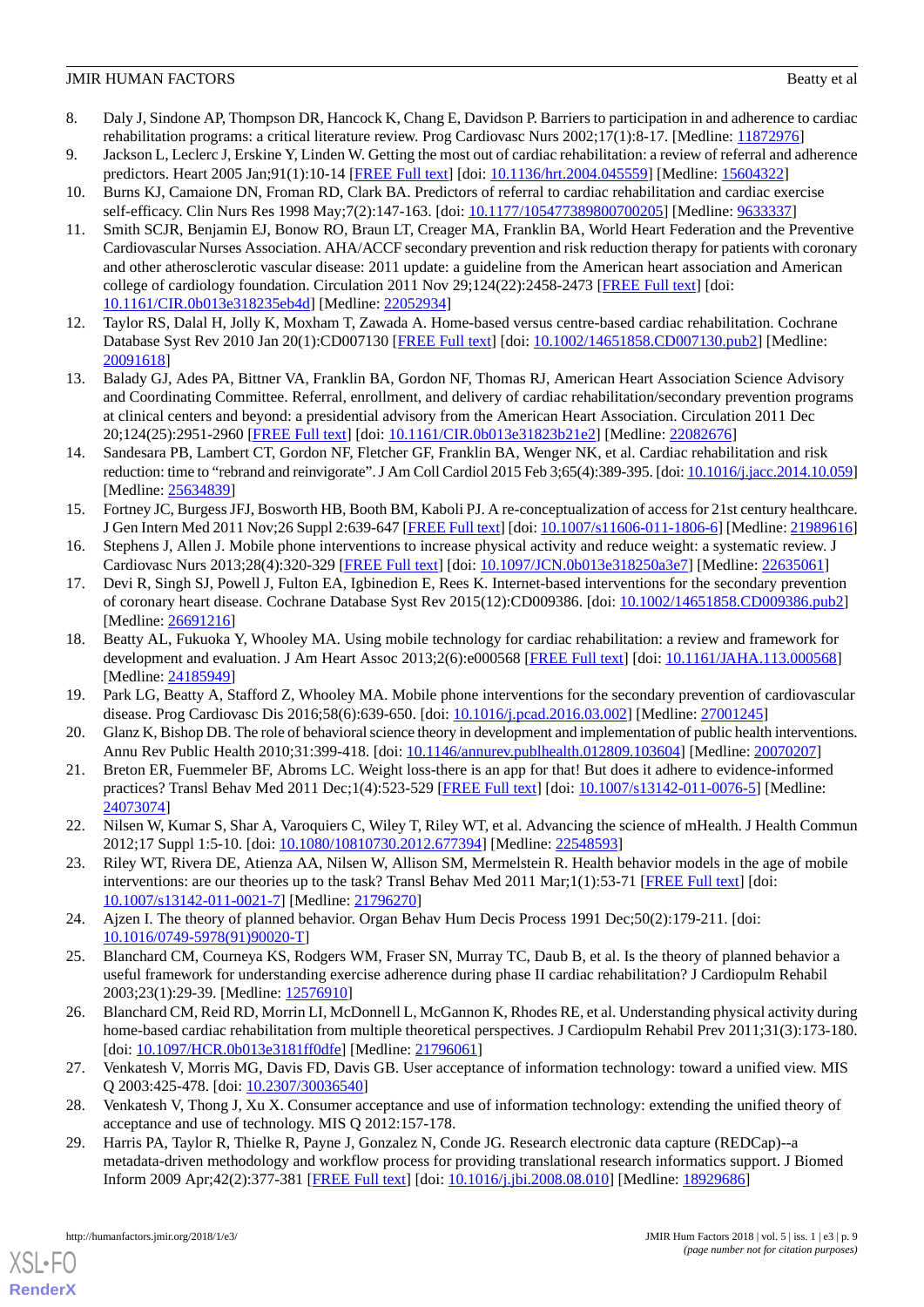- <span id="page-8-0"></span>8. Daly J, Sindone AP, Thompson DR, Hancock K, Chang E, Davidson P. Barriers to participation in and adherence to cardiac rehabilitation programs: a critical literature review. Prog Cardiovasc Nurs 2002;17(1):8-17. [Medline: [11872976](http://www.ncbi.nlm.nih.gov/entrez/query.fcgi?cmd=Retrieve&db=PubMed&list_uids=11872976&dopt=Abstract)]
- <span id="page-8-1"></span>9. Jackson L, Leclerc J, Erskine Y, Linden W. Getting the most out of cardiac rehabilitation: a review of referral and adherence predictors. Heart 2005 Jan;91(1):10-14 [\[FREE Full text\]](http://heart.bmj.com/cgi/pmidlookup?view=long&pmid=15604322) [doi: [10.1136/hrt.2004.045559\]](http://dx.doi.org/10.1136/hrt.2004.045559) [Medline: [15604322](http://www.ncbi.nlm.nih.gov/entrez/query.fcgi?cmd=Retrieve&db=PubMed&list_uids=15604322&dopt=Abstract)]
- <span id="page-8-2"></span>10. Burns KJ, Camaione DN, Froman RD, Clark BA. Predictors of referral to cardiac rehabilitation and cardiac exercise self-efficacy. Clin Nurs Res 1998 May;7(2):147-163. [doi: [10.1177/105477389800700205\]](http://dx.doi.org/10.1177/105477389800700205) [Medline: [9633337](http://www.ncbi.nlm.nih.gov/entrez/query.fcgi?cmd=Retrieve&db=PubMed&list_uids=9633337&dopt=Abstract)]
- 11. Smith SCJR, Benjamin EJ, Bonow RO, Braun LT, Creager MA, Franklin BA, World Heart Federation and the Preventive Cardiovascular Nurses Association. AHA/ACCF secondary prevention and risk reduction therapy for patients with coronary and other atherosclerotic vascular disease: 2011 update: a guideline from the American heart association and American college of cardiology foundation. Circulation 2011 Nov 29;124(22):2458-2473 [\[FREE Full text](http://circ.ahajournals.org/cgi/pmidlookup?view=long&pmid=22052934)] [doi: [10.1161/CIR.0b013e318235eb4d\]](http://dx.doi.org/10.1161/CIR.0b013e318235eb4d) [Medline: [22052934\]](http://www.ncbi.nlm.nih.gov/entrez/query.fcgi?cmd=Retrieve&db=PubMed&list_uids=22052934&dopt=Abstract)
- <span id="page-8-4"></span><span id="page-8-3"></span>12. Taylor RS, Dalal H, Jolly K, Moxham T, Zawada A. Home-based versus centre-based cardiac rehabilitation. Cochrane Database Syst Rev 2010 Jan 20(1):CD007130 [\[FREE Full text\]](http://europepmc.org/abstract/MED/20091618) [doi: [10.1002/14651858.CD007130.pub2](http://dx.doi.org/10.1002/14651858.CD007130.pub2)] [Medline: [20091618](http://www.ncbi.nlm.nih.gov/entrez/query.fcgi?cmd=Retrieve&db=PubMed&list_uids=20091618&dopt=Abstract)]
- <span id="page-8-5"></span>13. Balady GJ, Ades PA, Bittner VA, Franklin BA, Gordon NF, Thomas RJ, American Heart Association Science Advisory and Coordinating Committee. Referral, enrollment, and delivery of cardiac rehabilitation/secondary prevention programs at clinical centers and beyond: a presidential advisory from the American Heart Association. Circulation 2011 Dec 20;124(25):2951-2960 [[FREE Full text](http://circ.ahajournals.org/cgi/pmidlookup?view=long&pmid=22082676)] [doi: [10.1161/CIR.0b013e31823b21e2\]](http://dx.doi.org/10.1161/CIR.0b013e31823b21e2) [Medline: [22082676\]](http://www.ncbi.nlm.nih.gov/entrez/query.fcgi?cmd=Retrieve&db=PubMed&list_uids=22082676&dopt=Abstract)
- <span id="page-8-6"></span>14. Sandesara PB, Lambert CT, Gordon NF, Fletcher GF, Franklin BA, Wenger NK, et al. Cardiac rehabilitation and risk reduction: time to "rebrand and reinvigorate". J Am Coll Cardiol 2015 Feb 3;65(4):389-395. [doi: [10.1016/j.jacc.2014.10.059\]](http://dx.doi.org/10.1016/j.jacc.2014.10.059) [Medline: [25634839](http://www.ncbi.nlm.nih.gov/entrez/query.fcgi?cmd=Retrieve&db=PubMed&list_uids=25634839&dopt=Abstract)]
- 15. Fortney JC, Burgess JFJ, Bosworth HB, Booth BM, Kaboli PJ. A re-conceptualization of access for 21st century healthcare. J Gen Intern Med 2011 Nov;26 Suppl 2:639-647 [[FREE Full text](http://europepmc.org/abstract/MED/21989616)] [doi: [10.1007/s11606-011-1806-6\]](http://dx.doi.org/10.1007/s11606-011-1806-6) [Medline: [21989616](http://www.ncbi.nlm.nih.gov/entrez/query.fcgi?cmd=Retrieve&db=PubMed&list_uids=21989616&dopt=Abstract)]
- 16. Stephens J, Allen J. Mobile phone interventions to increase physical activity and reduce weight: a systematic review. J Cardiovasc Nurs 2013;28(4):320-329 [[FREE Full text](http://europepmc.org/abstract/MED/22635061)] [doi: [10.1097/JCN.0b013e318250a3e7\]](http://dx.doi.org/10.1097/JCN.0b013e318250a3e7) [Medline: [22635061](http://www.ncbi.nlm.nih.gov/entrez/query.fcgi?cmd=Retrieve&db=PubMed&list_uids=22635061&dopt=Abstract)]
- <span id="page-8-9"></span>17. Devi R, Singh SJ, Powell J, Fulton EA, Igbinedion E, Rees K. Internet-based interventions for the secondary prevention of coronary heart disease. Cochrane Database Syst Rev 2015(12):CD009386. [doi: [10.1002/14651858.CD009386.pub2\]](http://dx.doi.org/10.1002/14651858.CD009386.pub2) [Medline: [26691216](http://www.ncbi.nlm.nih.gov/entrez/query.fcgi?cmd=Retrieve&db=PubMed&list_uids=26691216&dopt=Abstract)]
- <span id="page-8-8"></span><span id="page-8-7"></span>18. Beatty AL, Fukuoka Y, Whooley MA. Using mobile technology for cardiac rehabilitation: a review and framework for development and evaluation. J Am Heart Assoc 2013;2(6):e000568 [\[FREE Full text\]](http://jaha.ahajournals.org/cgi/pmidlookup?view=long&pmid=24185949) [doi: [10.1161/JAHA.113.000568](http://dx.doi.org/10.1161/JAHA.113.000568)] [Medline: [24185949](http://www.ncbi.nlm.nih.gov/entrez/query.fcgi?cmd=Retrieve&db=PubMed&list_uids=24185949&dopt=Abstract)]
- <span id="page-8-10"></span>19. Park LG, Beatty A, Stafford Z, Whooley MA. Mobile phone interventions for the secondary prevention of cardiovascular disease. Prog Cardiovasc Dis 2016;58(6):639-650. [doi: [10.1016/j.pcad.2016.03.002](http://dx.doi.org/10.1016/j.pcad.2016.03.002)] [Medline: [27001245\]](http://www.ncbi.nlm.nih.gov/entrez/query.fcgi?cmd=Retrieve&db=PubMed&list_uids=27001245&dopt=Abstract)
- 20. Glanz K, Bishop DB. The role of behavioral science theory in development and implementation of public health interventions. Annu Rev Public Health 2010;31:399-418. [doi: [10.1146/annurev.publhealth.012809.103604](http://dx.doi.org/10.1146/annurev.publhealth.012809.103604)] [Medline: [20070207](http://www.ncbi.nlm.nih.gov/entrez/query.fcgi?cmd=Retrieve&db=PubMed&list_uids=20070207&dopt=Abstract)]
- <span id="page-8-11"></span>21. Breton ER, Fuemmeler BF, Abroms LC. Weight loss-there is an app for that! But does it adhere to evidence-informed practices? Transl Behav Med 2011 Dec;1(4):523-529 [\[FREE Full text\]](http://europepmc.org/abstract/MED/24073074) [doi: [10.1007/s13142-011-0076-5](http://dx.doi.org/10.1007/s13142-011-0076-5)] [Medline: [24073074](http://www.ncbi.nlm.nih.gov/entrez/query.fcgi?cmd=Retrieve&db=PubMed&list_uids=24073074&dopt=Abstract)]
- <span id="page-8-12"></span>22. Nilsen W, Kumar S, Shar A, Varoquiers C, Wiley T, Riley WT, et al. Advancing the science of mHealth. J Health Commun 2012;17 Suppl 1:5-10. [doi: [10.1080/10810730.2012.677394](http://dx.doi.org/10.1080/10810730.2012.677394)] [Medline: [22548593](http://www.ncbi.nlm.nih.gov/entrez/query.fcgi?cmd=Retrieve&db=PubMed&list_uids=22548593&dopt=Abstract)]
- <span id="page-8-13"></span>23. Riley WT, Rivera DE, Atienza AA, Nilsen W, Allison SM, Mermelstein R. Health behavior models in the age of mobile interventions: are our theories up to the task? Transl Behav Med 2011 Mar;1(1):53-71 [\[FREE Full text](http://europepmc.org/abstract/MED/21796270)] [doi: [10.1007/s13142-011-0021-7\]](http://dx.doi.org/10.1007/s13142-011-0021-7) [Medline: [21796270](http://www.ncbi.nlm.nih.gov/entrez/query.fcgi?cmd=Retrieve&db=PubMed&list_uids=21796270&dopt=Abstract)]
- <span id="page-8-14"></span>24. Ajzen I. The theory of planned behavior. Organ Behav Hum Decis Process 1991 Dec;50(2):179-211. [doi: [10.1016/0749-5978\(91\)90020-T](http://dx.doi.org/10.1016/0749-5978(91)90020-T)]
- <span id="page-8-15"></span>25. Blanchard CM, Courneya KS, Rodgers WM, Fraser SN, Murray TC, Daub B, et al. Is the theory of planned behavior a useful framework for understanding exercise adherence during phase II cardiac rehabilitation? J Cardiopulm Rehabil 2003;23(1):29-39. [Medline: [12576910](http://www.ncbi.nlm.nih.gov/entrez/query.fcgi?cmd=Retrieve&db=PubMed&list_uids=12576910&dopt=Abstract)]
- <span id="page-8-17"></span><span id="page-8-16"></span>26. Blanchard CM, Reid RD, Morrin LI, McDonnell L, McGannon K, Rhodes RE, et al. Understanding physical activity during home-based cardiac rehabilitation from multiple theoretical perspectives. J Cardiopulm Rehabil Prev 2011;31(3):173-180. [doi: [10.1097/HCR.0b013e3181ff0dfe\]](http://dx.doi.org/10.1097/HCR.0b013e3181ff0dfe) [Medline: [21796061\]](http://www.ncbi.nlm.nih.gov/entrez/query.fcgi?cmd=Retrieve&db=PubMed&list_uids=21796061&dopt=Abstract)
- 27. Venkatesh V, Morris MG, Davis FD, Davis GB. User acceptance of information technology: toward a unified view. MIS Q 2003:425-478. [doi: [10.2307/30036540](http://dx.doi.org/10.2307/30036540)]
- 28. Venkatesh V, Thong J, Xu X. Consumer acceptance and use of information technology: extending the unified theory of acceptance and use of technology. MIS Q 2012:157-178.
- 29. Harris PA, Taylor R, Thielke R, Payne J, Gonzalez N, Conde JG. Research electronic data capture (REDCap)--a metadata-driven methodology and workflow process for providing translational research informatics support. J Biomed Inform 2009 Apr;42(2):377-381 [\[FREE Full text\]](http://linkinghub.elsevier.com/retrieve/pii/S1532-0464(08)00122-6) [doi: [10.1016/j.jbi.2008.08.010](http://dx.doi.org/10.1016/j.jbi.2008.08.010)] [Medline: [18929686](http://www.ncbi.nlm.nih.gov/entrez/query.fcgi?cmd=Retrieve&db=PubMed&list_uids=18929686&dopt=Abstract)]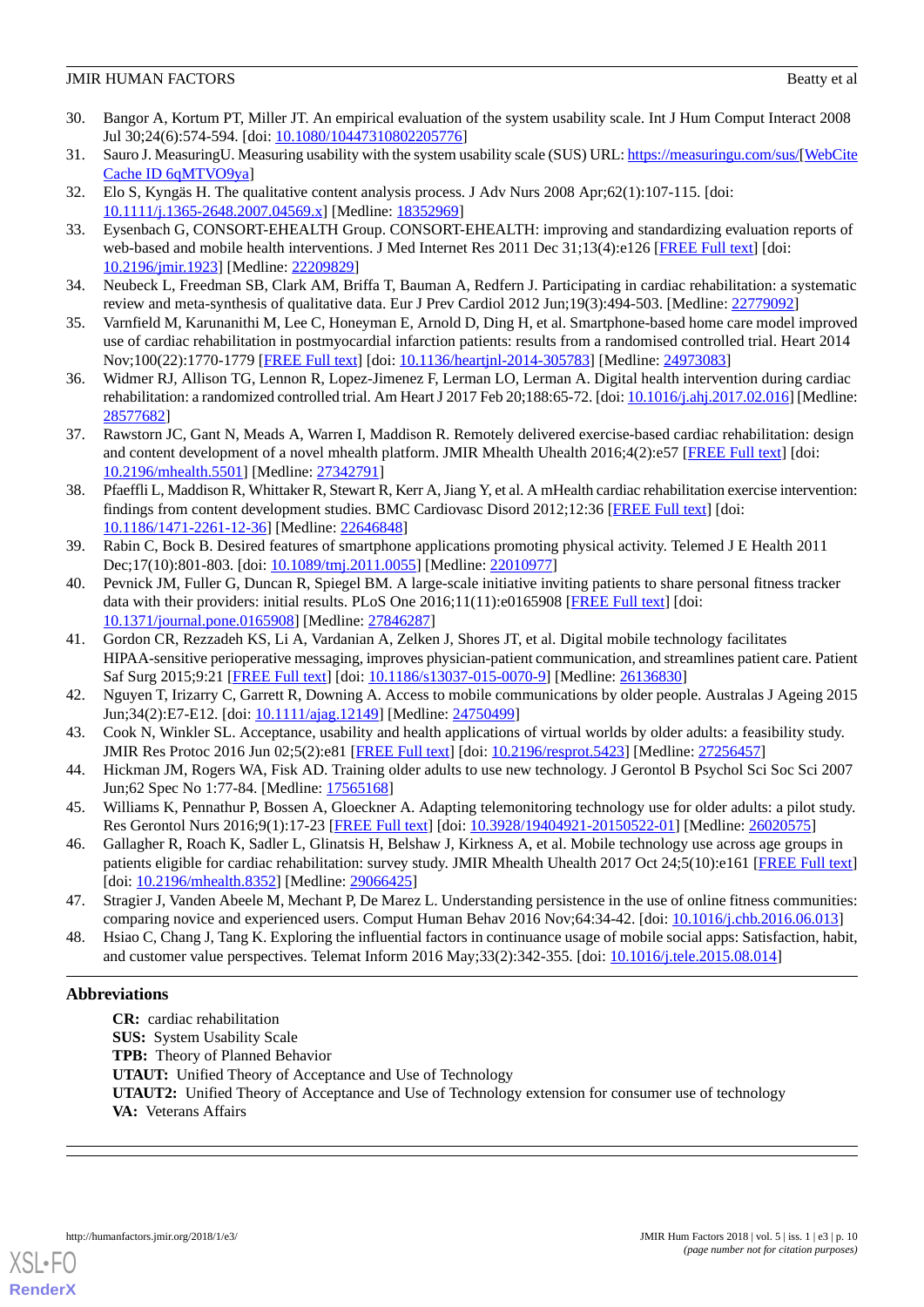- <span id="page-9-0"></span>30. Bangor A, Kortum PT, Miller JT. An empirical evaluation of the system usability scale. Int J Hum Comput Interact 2008 Jul 30;24(6):574-594. [doi: [10.1080/10447310802205776\]](http://dx.doi.org/10.1080/10447310802205776)
- <span id="page-9-2"></span><span id="page-9-1"></span>31. Sauro J. MeasuringU. Measuring usability with the system usability scale (SUS) URL:<https://measuringu.com/sus/>[\[WebCite](http://www.webcitation.org/

                                6qMTVO9ya) [Cache ID 6qMTVO9ya](http://www.webcitation.org/

                                6qMTVO9ya)]
- <span id="page-9-3"></span>32. Elo S, Kyngäs H. The qualitative content analysis process. J Adv Nurs 2008 Apr;62(1):107-115. [doi: [10.1111/j.1365-2648.2007.04569.x\]](http://dx.doi.org/10.1111/j.1365-2648.2007.04569.x) [Medline: [18352969\]](http://www.ncbi.nlm.nih.gov/entrez/query.fcgi?cmd=Retrieve&db=PubMed&list_uids=18352969&dopt=Abstract)
- <span id="page-9-4"></span>33. Eysenbach G, CONSORT-EHEALTH Group. CONSORT-EHEALTH: improving and standardizing evaluation reports of web-based and mobile health interventions. J Med Internet Res 2011 Dec 31;13(4):e126 [[FREE Full text](http://www.jmir.org/2011/4/e126/)] [doi: [10.2196/jmir.1923](http://dx.doi.org/10.2196/jmir.1923)] [Medline: [22209829](http://www.ncbi.nlm.nih.gov/entrez/query.fcgi?cmd=Retrieve&db=PubMed&list_uids=22209829&dopt=Abstract)]
- <span id="page-9-5"></span>34. Neubeck L, Freedman SB, Clark AM, Briffa T, Bauman A, Redfern J. Participating in cardiac rehabilitation: a systematic review and meta-synthesis of qualitative data. Eur J Prev Cardiol 2012 Jun;19(3):494-503. [Medline: [22779092\]](http://www.ncbi.nlm.nih.gov/entrez/query.fcgi?cmd=Retrieve&db=PubMed&list_uids=22779092&dopt=Abstract)
- <span id="page-9-6"></span>35. Varnfield M, Karunanithi M, Lee C, Honeyman E, Arnold D, Ding H, et al. Smartphone-based home care model improved use of cardiac rehabilitation in postmyocardial infarction patients: results from a randomised controlled trial. Heart 2014 Nov;100(22):1770-1779 [[FREE Full text](http://heart.bmj.com/cgi/pmidlookup?view=long&pmid=24973083)] [doi: [10.1136/heartjnl-2014-305783](http://dx.doi.org/10.1136/heartjnl-2014-305783)] [Medline: [24973083\]](http://www.ncbi.nlm.nih.gov/entrez/query.fcgi?cmd=Retrieve&db=PubMed&list_uids=24973083&dopt=Abstract)
- <span id="page-9-7"></span>36. Widmer RJ, Allison TG, Lennon R, Lopez-Jimenez F, Lerman LO, Lerman A. Digital health intervention during cardiac rehabilitation: a randomized controlled trial. Am Heart J 2017 Feb 20;188:65-72. [doi: [10.1016/j.ahj.2017.02.016](http://dx.doi.org/10.1016/j.ahj.2017.02.016)] [Medline: [28577682](http://www.ncbi.nlm.nih.gov/entrez/query.fcgi?cmd=Retrieve&db=PubMed&list_uids=28577682&dopt=Abstract)]
- <span id="page-9-8"></span>37. Rawstorn JC, Gant N, Meads A, Warren I, Maddison R. Remotely delivered exercise-based cardiac rehabilitation: design and content development of a novel mhealth platform. JMIR Mhealth Uhealth 2016;4(2):e57 [\[FREE Full text\]](http://mhealth.jmir.org/2016/2/e57/) [doi: [10.2196/mhealth.5501](http://dx.doi.org/10.2196/mhealth.5501)] [Medline: [27342791](http://www.ncbi.nlm.nih.gov/entrez/query.fcgi?cmd=Retrieve&db=PubMed&list_uids=27342791&dopt=Abstract)]
- <span id="page-9-9"></span>38. Pfaeffli L, Maddison R, Whittaker R, Stewart R, Kerr A, Jiang Y, et al. A mHealth cardiac rehabilitation exercise intervention: findings from content development studies. BMC Cardiovasc Disord 2012;12:36 [[FREE Full text](http://www.biomedcentral.com/1471-2261/12/36)] [doi: [10.1186/1471-2261-12-36\]](http://dx.doi.org/10.1186/1471-2261-12-36) [Medline: [22646848\]](http://www.ncbi.nlm.nih.gov/entrez/query.fcgi?cmd=Retrieve&db=PubMed&list_uids=22646848&dopt=Abstract)
- <span id="page-9-10"></span>39. Rabin C, Bock B. Desired features of smartphone applications promoting physical activity. Telemed J E Health 2011 Dec;17(10):801-803. [doi: [10.1089/tmj.2011.0055](http://dx.doi.org/10.1089/tmj.2011.0055)] [Medline: [22010977\]](http://www.ncbi.nlm.nih.gov/entrez/query.fcgi?cmd=Retrieve&db=PubMed&list_uids=22010977&dopt=Abstract)
- <span id="page-9-11"></span>40. Pevnick JM, Fuller G, Duncan R, Spiegel BM. A large-scale initiative inviting patients to share personal fitness tracker data with their providers: initial results. PLoS One 2016;11(11):e0165908 [\[FREE Full text](http://dx.plos.org/10.1371/journal.pone.0165908)] [doi: [10.1371/journal.pone.0165908\]](http://dx.doi.org/10.1371/journal.pone.0165908) [Medline: [27846287](http://www.ncbi.nlm.nih.gov/entrez/query.fcgi?cmd=Retrieve&db=PubMed&list_uids=27846287&dopt=Abstract)]
- <span id="page-9-13"></span><span id="page-9-12"></span>41. Gordon CR, Rezzadeh KS, Li A, Vardanian A, Zelken J, Shores JT, et al. Digital mobile technology facilitates HIPAA-sensitive perioperative messaging, improves physician-patient communication, and streamlines patient care. Patient Saf Surg 2015;9:21 [[FREE Full text](https://pssjournal.biomedcentral.com/articles/10.1186/s13037-015-0070-9)] [doi: [10.1186/s13037-015-0070-9\]](http://dx.doi.org/10.1186/s13037-015-0070-9) [Medline: [26136830\]](http://www.ncbi.nlm.nih.gov/entrez/query.fcgi?cmd=Retrieve&db=PubMed&list_uids=26136830&dopt=Abstract)
- <span id="page-9-14"></span>42. Nguyen T, Irizarry C, Garrett R, Downing A. Access to mobile communications by older people. Australas J Ageing 2015 Jun;34(2):E7-E12. [doi: [10.1111/ajag.12149](http://dx.doi.org/10.1111/ajag.12149)] [Medline: [24750499\]](http://www.ncbi.nlm.nih.gov/entrez/query.fcgi?cmd=Retrieve&db=PubMed&list_uids=24750499&dopt=Abstract)
- <span id="page-9-15"></span>43. Cook N, Winkler SL. Acceptance, usability and health applications of virtual worlds by older adults: a feasibility study. JMIR Res Protoc 2016 Jun 02;5(2):e81 [\[FREE Full text\]](http://www.researchprotocols.org/2016/2/e81/) [doi: [10.2196/resprot.5423](http://dx.doi.org/10.2196/resprot.5423)] [Medline: [27256457](http://www.ncbi.nlm.nih.gov/entrez/query.fcgi?cmd=Retrieve&db=PubMed&list_uids=27256457&dopt=Abstract)]
- <span id="page-9-16"></span>44. Hickman JM, Rogers WA, Fisk AD. Training older adults to use new technology. J Gerontol B Psychol Sci Soc Sci 2007 Jun;62 Spec No 1:77-84. [Medline: [17565168](http://www.ncbi.nlm.nih.gov/entrez/query.fcgi?cmd=Retrieve&db=PubMed&list_uids=17565168&dopt=Abstract)]
- <span id="page-9-17"></span>45. Williams K, Pennathur P, Bossen A, Gloeckner A. Adapting telemonitoring technology use for older adults: a pilot study. Res Gerontol Nurs 2016;9(1):17-23 [\[FREE Full text\]](http://europepmc.org/abstract/MED/26020575) [doi: [10.3928/19404921-20150522-01\]](http://dx.doi.org/10.3928/19404921-20150522-01) [Medline: [26020575\]](http://www.ncbi.nlm.nih.gov/entrez/query.fcgi?cmd=Retrieve&db=PubMed&list_uids=26020575&dopt=Abstract)
- <span id="page-9-18"></span>46. Gallagher R, Roach K, Sadler L, Glinatsis H, Belshaw J, Kirkness A, et al. Mobile technology use across age groups in patients eligible for cardiac rehabilitation: survey study. JMIR Mhealth Uhealth 2017 Oct 24;5(10):e161 [[FREE Full text](http://mhealth.jmir.org/2017/10/e161/)] [doi: [10.2196/mhealth.8352\]](http://dx.doi.org/10.2196/mhealth.8352) [Medline: [29066425\]](http://www.ncbi.nlm.nih.gov/entrez/query.fcgi?cmd=Retrieve&db=PubMed&list_uids=29066425&dopt=Abstract)
- 47. Stragier J, Vanden Abeele M, Mechant P, De Marez L. Understanding persistence in the use of online fitness communities: comparing novice and experienced users. Comput Human Behav 2016 Nov;64:34-42. [doi: [10.1016/j.chb.2016.06.013](http://dx.doi.org/10.1016/j.chb.2016.06.013)]
- 48. Hsiao C, Chang J, Tang K. Exploring the influential factors in continuance usage of mobile social apps: Satisfaction, habit, and customer value perspectives. Telemat Inform 2016 May;33(2):342-355. [doi: [10.1016/j.tele.2015.08.014\]](http://dx.doi.org/10.1016/j.tele.2015.08.014)

# **Abbreviations**

**CR:** cardiac rehabilitation **SUS:** System Usability Scale **TPB:** Theory of Planned Behavior **UTAUT:** Unified Theory of Acceptance and Use of Technology **UTAUT2:** Unified Theory of Acceptance and Use of Technology extension for consumer use of technology **VA:** Veterans Affairs